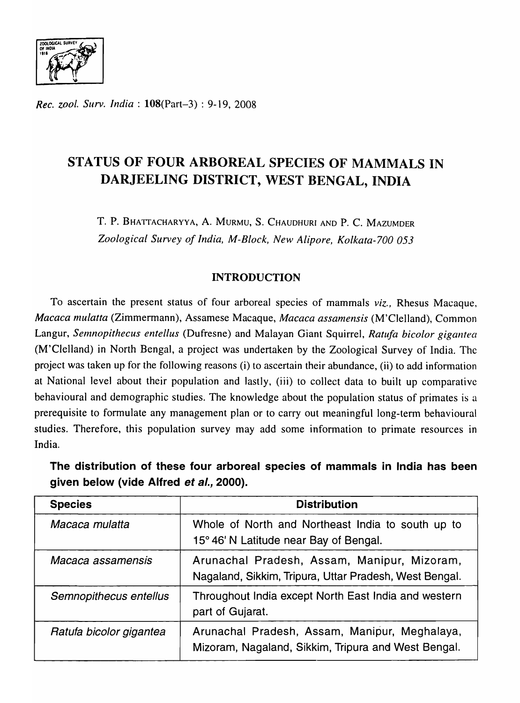

*Rec. zool. Surv. India:* l08(Part-3) : 9-19, 2008

# STATUS OF FOUR ARBOREAL SPECIES OF MAMMALS IN DARJEELING DISTRICT, WEST BENGAL, INDIA

T. P. BHATTACHARYYA, A. MURMU, S. CHAUDHURI AND P. C. MAZUMDER *Zoological Survey of India, M-Block, New Alipore, Kolkata-700 053* 

# INTRODUCTION

To ascertain the present status of four arboreal species of mammals *viz.,* Rhesus Macaque, *Macaca mulatta* (Zimmermann), Assamese Macaque, *Macaca assamensis* (M'Clelland), Common Langur, Semnopithecus entellus (Dufresne) and Malayan Giant Squirrel, Ratufa bicolor gigantea (M'Clelland) in North Bengal, a project was undertaken by the Zoological Survey of India. The project was taken up for the following reasons (i) to ascertain their abundance, (ii) to add information at National level about their population and lastly, (iii) to collect data to built up comparative behavioural and demographic studies. The knowledge about the population status of primates is a prerequisite to formulate any management plan or to carry out meaningful long-term behavioural studies. Therefore, this population survey may add some information to primate resources in India.

The distribution of these four arboreal species of mammals in India has been given below (vide Alfred et al., 2000).

| <b>Species</b>          | <b>Distribution</b>                                                                                   |
|-------------------------|-------------------------------------------------------------------------------------------------------|
| Macaca mulatta          | Whole of North and Northeast India to south up to<br>15° 46' N Latitude near Bay of Bengal.           |
| Macaca assamensis       | Arunachal Pradesh, Assam, Manipur, Mizoram,<br>Nagaland, Sikkim, Tripura, Uttar Pradesh, West Bengal. |
| Semnopithecus entellus  | Throughout India except North East India and western<br>part of Gujarat.                              |
| Ratufa bicolor gigantea | Arunachal Pradesh, Assam, Manipur, Meghalaya,<br>Mizoram, Nagaland, Sikkim, Tripura and West Bengal.  |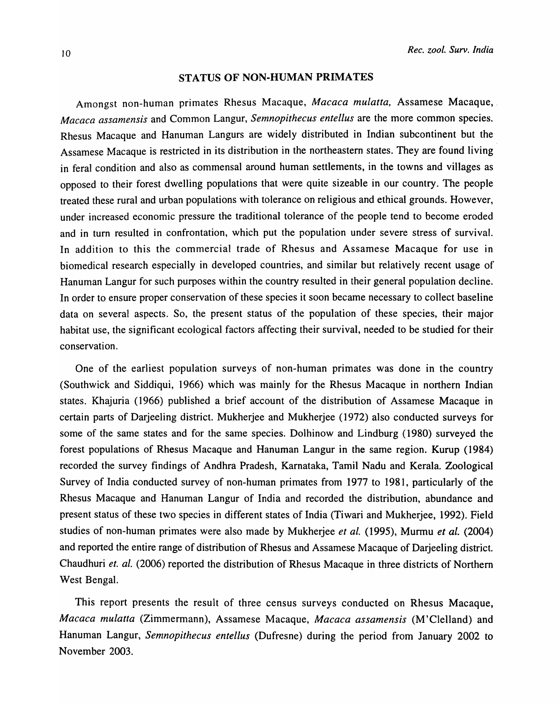### STATUS OF NON-HUMAN PRIMATES

Amongst non-human primates Rhesus Macaque, *Macaca mulatta,* Assamese Macaque, ' *Macaca assamensis* and Common Langur, *Semnopithecus entellus* are the more common species. Rhesus Macaque and Hanuman Langurs are widely distributed in Indian subcontinent but the Assamese Macaque is restricted in its distribution in the northeastern states. They are found living in feral condition and also as commensal around human settlements, in the towns and villages as opposed to their forest dwelling populations that were quite sizeable in our country. The people treated these rural and urban populations with tolerance on religious and ethical grounds. However, under increased economic pressure the traditional tolerance of the people tend to become eroded and in turn resulted in confrontation, which put the population under severe stress of survival. In addition to this the commercial trade of Rhesus and Assamese Macaque for use in biomedical research especially in developed countries, and similar but relatively recent usage of Hanuman Langur for such purposes within the country resulted in their general population decline. In order to ensure proper conservation of these species it soon became necessary to collect baseline data on several aspects. So, the present status of the population of these species, their major habitat use, the significant ecological factors affecting their survival, needed to be studied for their conservation.

One of the earliest population surveys of non-human primates was done in the country (Southwick and Siddiqui, 1966) which was mainly for the Rhesus Macaque in northern Indian states. Khajuria (1966) published a brief account of the distribution of Assamese Macaque in certain parts of Darjeeling district. Mukherjee and Mukherjee (1972) also conducted surveys for some of the same states and for the same species. Dolhinow and Lindburg (1980) surveyed the forest populations of Rhesus Macaque and Hanuman Langur in the same region. Kurup (1984) recorded the survey findings of Andhra Pradesh, Karnataka, Tamil Nadu and Kerala. Zoological Survey of India conducted survey of non-human primates from 1977 to 1981, particularly of the Rhesus Macaque and Hanuman Langur of India and recorded the distribution, abundance and present status of these two species in different states of India (Tiwari and Mukherjee, 1992). Field studies of non-human primates were also made by Mukherjee *et al.* (1995), Murmu *et at.* (2004) and reported the entire range of distribution of Rhesus and Assamese Macaque of Darjeeling district. Chaudhuri et. al. (2006) reported the distribution of Rhesus Macaque in three districts of Northern West Bengal.

This report presents the result of three census surveys conducted on Rhesus Macaque, *Macaca mulatta* (Zimmermann), Assamese Macaque, *Macaca assamensis* (M'Clelland) and Hanuman Langur, *Semnopithecus entellus* (Dufresne) during the period from January 2002 to November 2003.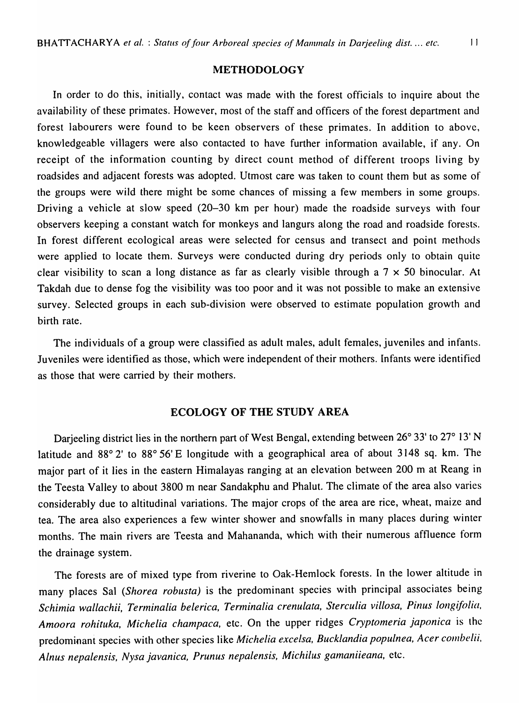### METHODOLOGY

In order to do this, initially, contact was made with the forest officials to inquire about the availability of these primates. However, most of the staff and officers of the forest department and forest labourers were found to be keen observers of these primates. In addition to above, knowledgeable villagers were also contacted to have further information available, if any. On receipt of the information counting by direct count method of different troops living by roadsides and adjacent forests was adopted. Utmost care was taken to count them but as some of the groups were wild there might be some chances of missing a few members in some groups. Driving a vehicle at slow speed (20-30 km per hour) made the roadside surveys with four observers keeping a constant watch for monkeys and langurs along the road and roadside forests. In forest different ecological areas were selected for census and transect and point methods were applied to locate them. Surveys were conducted during dry periods only to obtain quite clear visibility to scan a long distance as far as clearly visible through a  $7 \times 50$  binocular. At Takdah due to dense fog the visibility was too poor and it was not possible to make an extensive survey. Selected groups in each sub-division were observed to estimate population growth and birth rate.

The individuals of a group were classified as adult males, adult females, juveniles and infants. Juveniles were identified as those, which were independent of their mothers. Infants were identified as those that were carried by their mothers.

## ECOLOGY OF THE STUDY AREA

Darjeeling district lies in the northern part of West Bengal, extending between 26° 33' to 27° 13' N latitude and 88° 2' to 88° 56' E longitude with a geographical area of about 3148 sq. km. The major part of it lies in the eastern Himalayas ranging at an elevation between 200 m at Reang in the Teesta Valley to about 3800 m near Sandakphu and Phalut. The climate of the area also varies considerably due to altitudinal variations. The major crops of the area are rice, wheat, maize and tea. The area also experiences a few winter shower and snowfalls in many places during winter months. The main rivers are Teesta and Mahananda, which with their numerous affluence form the drainage system.

The forests are of mixed type from riverine to Oak-Hemlock forests. In the lower altitude in many places Sal *(Shorea robusta)* is the predominant species with principal associates being Schimia wallachii, Terminalia belerica, Terminalia crenulata, Sterculia villosa, Pinus longifolia, *Amoora rohituka, Michelia champaca,* etc. On the upper ridges *Cryptomeria japonica* is the predominant species with other species like *Michelia excelsa, Bucklandia populnea, Acer combelii*, *Alnus nepalensis, Nysa javanica, Prunus nepalensis, Michilus gamaniieana,* etc.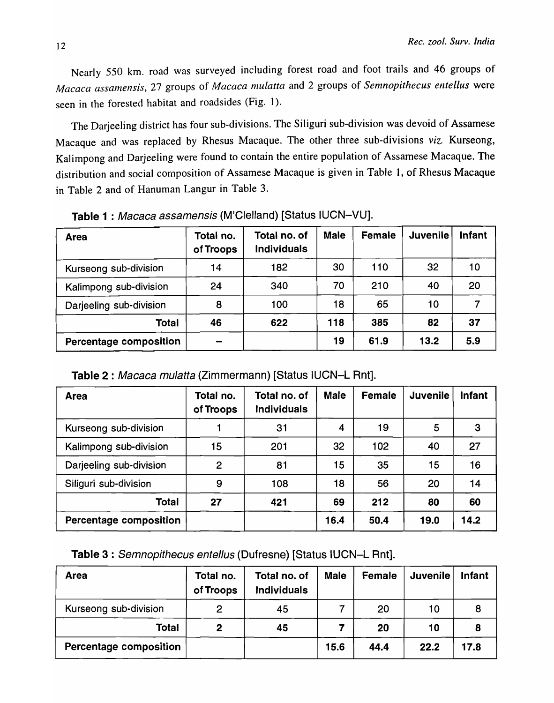Nearly 550 km. road was surveyed including forest road and foot trails and 46 groups of *Macaca assamensis, 27 groups of Macaca mulatta and 2 groups of Semnopithecus entellus were* seen in the forested habitat and roadsides (Fig. I).

The Darjeeling district has four sub-divisions. The Siliguri sub-division was devoid of Assamese Macaque and was replaced by Rhesus Macaque. The other three sub-divisions *viz.* Kurseong, Kalimpong and Darjeeling were found to contain the entire population of Assamese Macaque. The distribution and social composition of Assamese Macaque is given in Table 1, of Rhesus Macaque in Table 2 and of Hanuman Langur in Table 3.

| <b>Area</b>                   | Total no.<br>of Troops | Total no. of<br><b>Individuals</b> | <b>Male</b> | <b>Female</b> | <b>Juvenile</b> | <b>Infant</b> |
|-------------------------------|------------------------|------------------------------------|-------------|---------------|-----------------|---------------|
| Kurseong sub-division         | 14                     | 182                                | 30          | 110           | 32              | 10            |
| Kalimpong sub-division        | 24                     | 340                                | 70          | 210           | 40              | 20            |
| Darjeeling sub-division       | 8                      | 100                                | 18          | 65            | 10              |               |
| <b>Total</b>                  | 46                     | 622                                | 118         | 385           | 82              | 37            |
| <b>Percentage composition</b> |                        |                                    | 19          | 61.9          | 13.2            | 5.9           |

Table 1 : Macaca assamensis (M'Clelland) [Status IUCN-VU].

Table 2 : Macaca mulatta (Zimmermann) [Status IUCN-L Rnt].

| <b>Area</b>             | Total no.<br>of Troops | Total no. of<br><b>Individuals</b> | <b>Male</b> | Female | <b>Juvenile</b> | <b>Infant</b> |
|-------------------------|------------------------|------------------------------------|-------------|--------|-----------------|---------------|
| Kurseong sub-division   |                        | 31                                 | 4           | 19     | 5               | 3             |
| Kalimpong sub-division  | 15                     | 201                                | 32          | 102    | 40              | 27            |
| Darjeeling sub-division | $\overline{2}$         | 81                                 | 15          | 35     | 15              | 16            |
| Siliguri sub-division   | 9                      | 108                                | 18          | 56     | 20              | 14            |
| <b>Total</b>            | 27                     | 421                                | 69          | 212    | 80              | 60            |
| Percentage composition  |                        |                                    | 16.4        | 50.4   | 19.0            | 14.2          |

| <b>Area</b>            | Total no.<br>of Troops | Total no. of<br><b>Individuals</b> | <b>Male</b> | Female | <b>Juvenile</b> | <b>Infant</b> |
|------------------------|------------------------|------------------------------------|-------------|--------|-----------------|---------------|
| Kurseong sub-division  | $\overline{2}$         | 45                                 |             | 20     | 10              | 8             |
| <b>Total</b>           | $\mathbf{2}$           | 45                                 |             | 20     | 10              | 8             |
| Percentage composition |                        |                                    | 15.6        | 44.4   | 22.2            | 17.8          |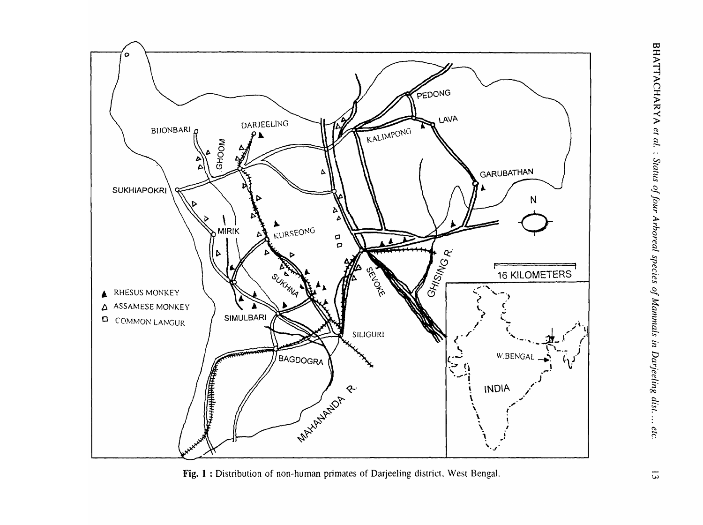

Fig. 1 : Distribution of non-human primates of Darjeeling district. West Bengal.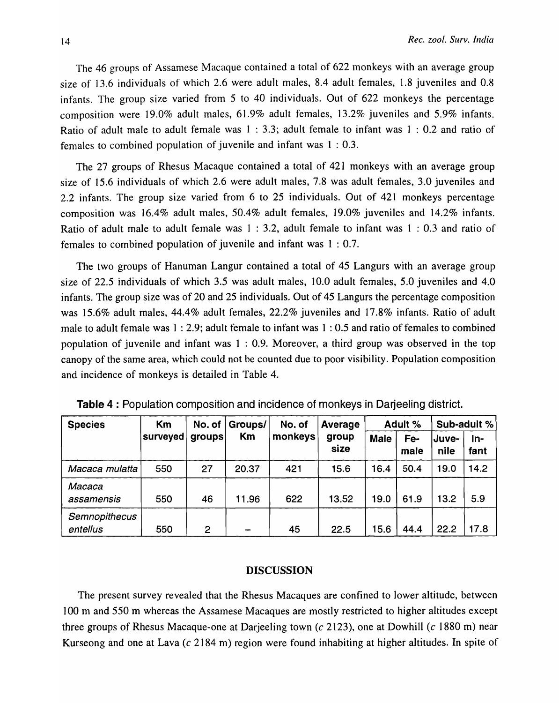The 46 groups of Assamese Macaque contained a total of 622 monkeys with an average group size of 13.6 individuals of which 2.6 were adult males, 8.4 adult females, 1.8 juveniles and 0.8 infants. The group size varied from 5 to 40 individuals. Out of 622 monkeys the percentage composition were 19.0% adult males, 61.9% adult females, 13.2% juveniles and 5.9% infants. Ratio of adult male to adult female was 1 : 3.3; adult female to infant was 1 : 0.2 and ratio of females to combined population of juvenile and infant was  $1:0.3$ .

The 27 groups of Rhesus Macaque contained a total of 421 monkeys with an average group size of 15.6 individuals of which 2.6 were adult males, 7.8 was adult females, 3.0 juveniles and 2.2 infants. The group size varied from 6 to 25 individuals. Out of 421 monkeys percentage composition was 16.4% adult males, 50.4% adult females, 19.0% juveniles and 14.2% infants. Ratio of adult male to adult female was 1 : 3.2, adult female to infant was 1 : 0.3 and ratio of females to combined population of juvenile and infant was 1 : 0.7.

The two groups of Hanuman Langur contained a total of 45 Langurs with an average group size of 22.5 individuals of which 3.5 was adult males, 10.0 adult females, 5.0 juveniles and 4.0 infants. The group size was of 20 and 25 individuals. Out of 45 Langurs the percentage composition was 15.6% adult males, 44.4% adult females, 22.2% juveniles and 17.8% infants. Ratio of adult male to adult female was 1 : 2.9; adult female to infant was 1 : 0.5 and ratio of females to combined population of juvenile and infant was 1 : 0.9. Moreover, a third group was observed in the top canopy of the same area, which could not be counted due to poor visibility. Population composition and incidence of monkeys is detailed in Table 4.

| <b>Species</b>            | Km       | No. of $ $ | Groups/ | No. of  | Average       | Adult %     |             | Sub-adult %   |               |
|---------------------------|----------|------------|---------|---------|---------------|-------------|-------------|---------------|---------------|
|                           | surveyed | groups     | Km      | monkeys | group<br>size | <b>Male</b> | Fe-<br>male | Juve-<br>nile | $In-$<br>fant |
| Macaca mulatta            | 550      | 27         | 20.37   | 421     | 15.6          | 16.4        | 50.4        | 19.0          | 14.2          |
| Macaca<br>assamensis      | 550      | 46         | 11.96   | 622     | 13.52         | 19.0        | 61.9        | 13.2          | 5.9           |
| Semnopithecus<br>entellus | 550      | 2          |         | 45      | 22.5          | 15.6        | 44.4        | 22.2          | 17.8          |

Table 4 : Population composition and incidence of monkeys in Darjeeling district.

### DISCUSSION

The present survey revealed that the Rhesus Macaques are confined to lower altitude, between 100 m and 550 m whereas the Assamese Macaques are mostly restricted to higher altitudes except three groups of Rhesus Macaque-one at Darjeeling town (c 2123), one at Dowhill (c 1880 m) near Kurseong and one at Lava (c 2184 m) region were found inhabiting at higher altitudes. In spite of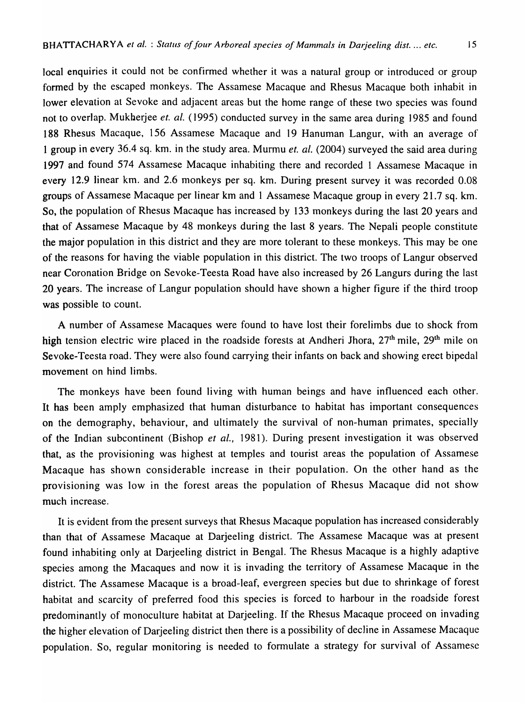local enquiries it could not be confirmed whether it was a natural group or introduced or group formed by the escaped monkeys. The Assamese Macaque and Rhesus Macaque both inhabit in lower elevation at Sevoke and adjacent areas but the home range of these two species was found not to overlap. Mukberjee *et. al.* (1995) conducted survey in the same area during 1985 and found 188 Rhesus Macaque, 156 Assamese Macaque and 19 Hanuman Langur, with an average of 1 group in every 36.4 sq. km. in the study area. Murmu *et. al.* (2004) surveyed the said area during 1997 and found 574 Assamese Macaque inhabiting there and recorded 1 Assamese Macaque in every 12.9 linear km. and 2.6 monkeys per sq. km. During present survey it was recorded 0.08 groups of Assamese Macaque per linear km and 1 Assamese Macaque group in every 21.7 sq. km. So, the population of Rhesus Macaque has increased by 133 monkeys during the last 20 years and that of Assamese Macaque by 48 monkeys during the last 8 years. The Nepali people constitute the major population in this district and they are more tolerant to these monkeys. This may be one of the reasons for having the viable population in this district. The two troops of Langur observed near Coronation Bridge on Sevoke-Teesta Road have also increased by 26 Langurs during the last 20 years. The increase of Langur population should have shown a higher figure if the third troop was possible to count.

A number of Assamese Macaques were found to have lost their forelimbs due to shock from high tension electric wire placed in the roadside forests at Andheri Jhora, 27<sup>th</sup> mile, 29<sup>th</sup> mile on Sevoke-Teesta road. They were also found carrying their infants on back and showing erect bipedal movement on hind limbs.

The monkeys have been found living with human beings and have influenced each other. It has been amply emphasized that human disturbance to habitat has important consequences on the demography, behaviour, and ultimately the survival of non-human primates, specially of the Indian subcontinent (Bishop *et aI.,* 1981). During present investigation it was observed that, as the provisioning was highest at temples and tourist areas the population of Assamese Macaque has shown considerable increase in their population. On the other hand as the provisioning was low in the forest areas the population of Rhesus Macaque did not show much increase.

It is evident from the present surveys that Rhesus Macaque population has increased considerably than that of Assamese Macaque at Darjeeling district. The Assamese Macaque was at present found inhabiting only at Darjeeling district in Bengal. The Rhesus Macaque is a highly adaptive species among the Macaques and now it is invading the territory of Assamese Macaque in the district. The Assamese Macaque is a broad-leaf, evergreen species but due to shrinkage of forest habitat and scarcity of preferred food this species is forced to harbour in the roadside forest predominantly of monoculture habitat at Darjeeling. If the Rhesus Macaque proceed on invading the higher elevation of Darjeeling district then there is a possibility of decline in Assamese Macaque population. So, regular monitoring is needed to formulate a strategy for survival of Assamese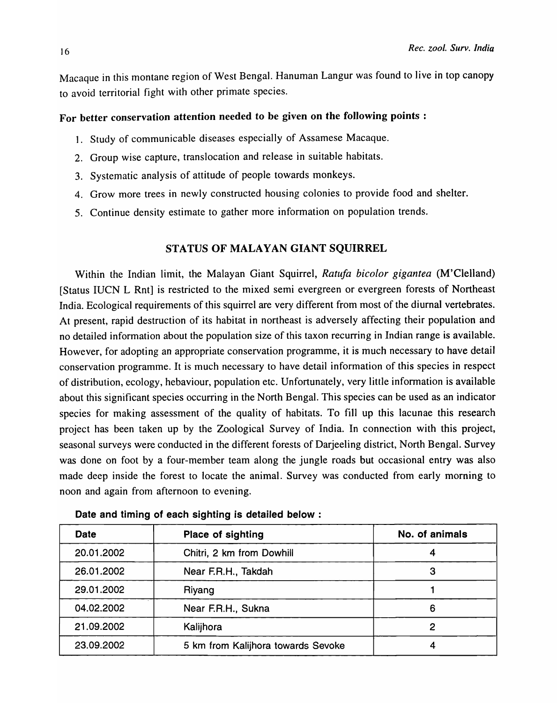Macaque in this montane region of West Bengal. Hanuman Langur was found to live in top canopy to avoid territorial fight with other primate species.

# For better conservation attention needed to be given on the following points :

- 1. Study of communicable diseases especially of Assamese Macaque.
- 2. Group wise capture, translocation and release in suitable habitats.
- 3. Systematic analysis of attitude of people towards monkeys.
- 4. Grow more trees in newly constructed housing colonies to provide food and shelter.
- 5. Continue density estimate to gather more information on population trends.

## STATUS OF MALAYAN GIANT SQUIRREL

Within the Indian limit, the Malayan Giant Squirrel, *Ratufa bicolor gigantea* (M'Clelland) [Status IUCN L Rnt] is restricted to the mixed semi evergreen or evergreen forests of Northeast India. Ecological requirements of this squirrel are very different from most of the diurnal vertebrates. At present, rapid destruction of its habitat in northeast is adversely affecting their population and no detailed information about the population size of this taxon recurring in Indian range is available. However, for adopting an appropriate conservation programme, it is much necessary to have detail conservation programme. It is much necessary to have detail information of this species in respect of distribution, ecology, hebaviour, population etc. Unfortunately, very little information is available about this significant species occurring in the North Bengal. This species can be used as an indicator species for making assessment of the quality of habitats. To fill up this lacunae this research project has been taken up by the Zoological Survey of India. In connection with this project, seasonal surveys were conducted in the different forests of Darjeeling district, North Bengal. Survey was done on foot by a four-member team along the jungle roads but occasional entry was also made deep inside the forest to locate the animal. Survey was conducted from early morning to noon and again from afternoon to evening.

| <b>Date</b> | Place of sighting                  | No. of animals |
|-------------|------------------------------------|----------------|
| 20.01.2002  | Chitri, 2 km from Dowhill          |                |
| 26.01.2002  | Near F.R.H., Takdah                |                |
| 29.01.2002  | Riyang                             |                |
| 04.02.2002  | Near F.R.H., Sukna                 | 6              |
| 21.09.2002  | Kalijhora                          |                |
| 23.09.2002  | 5 km from Kalijhora towards Sevoke |                |

Date and timing of each sighting is detailed below: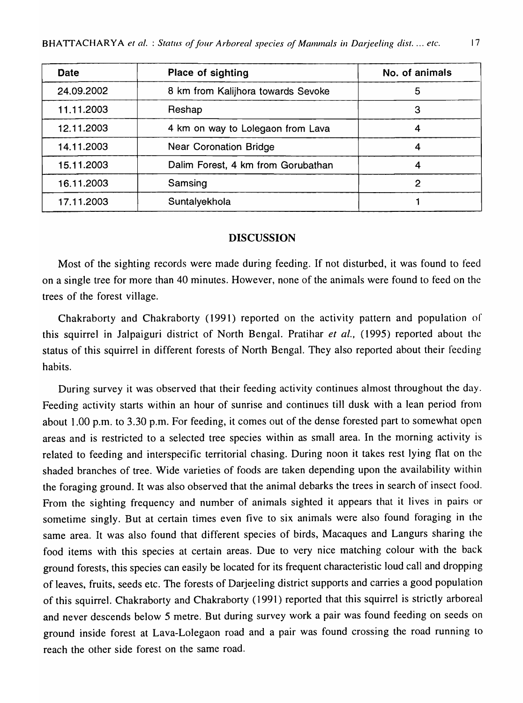| <b>Date</b> | Place of sighting                  | No. of animals |
|-------------|------------------------------------|----------------|
| 24.09.2002  | 8 km from Kalijhora towards Sevoke | 5              |
| 11.11.2003  | Reshap                             | З              |
| 12.11.2003  | 4 km on way to Lolegaon from Lava  |                |
| 14.11.2003  | <b>Near Coronation Bridge</b>      |                |
| 15.11.2003  | Dalim Forest, 4 km from Gorubathan |                |
| 16.11.2003  | Samsing                            |                |
| 17.11.2003  | Suntalyekhola                      |                |

### DISCUSSION

Most of the sighting records were made during feeding. If not disturbed, it was found to feed on a single tree for more than 40 minutes. However, none of the animals were found to feed on the trees of the forest village.

Chakraborty and Chakraborty (1991) reported on the activity pattern and population of this squirrel in Jalpaiguri district of North Bengal. Pratihar *et al.,* (1995) reported about the status of this squirrel in different forests of North Bengal. They also reported about their feeding habits.

During survey it was observed that their feeding activity continues almost throughout the day. Feeding activity starts within an hour of sunrise and continues till dusk with a lean period from about 1.00 p.m. to 3.30 p.m. For feeding, it comes out of the dense forested part to somewhat open areas and is restricted to a selected tree species within as small area. In the morning activity is related to feeding and interspecific territorial chasing. During noon it takes rest lying flat on the shaded branches of tree. Wide varieties of foods are taken depending upon the availability within the foraging ground. It was also observed that the animal debarks the trees in search of insect food. From the sighting frequency and number of animals sighted it appears that it lives in pairs or sometime singly. But at certain times even five to six animals were also found foraging in the same area. It was also found that different species of birds, Macaques and Langurs sharing the food items with this species at certain areas. Due to very nice matching colour with the back ground forests, this species can easily be located for its frequent characteristic loud call and dropping of leaves, fruits, seeds etc. The forests of Darjeeling district supports and carries a good population of this squirrel. Chakraborty and Chakraborty (1991) reported that this squirrel is strictly arboreal and never descends below 5 metre. But during survey work a pair was found feeding on seeds on ground inside forest at Lava-Lolegaon road and a pair was found crossing the road running to reach the other side forest on the same road.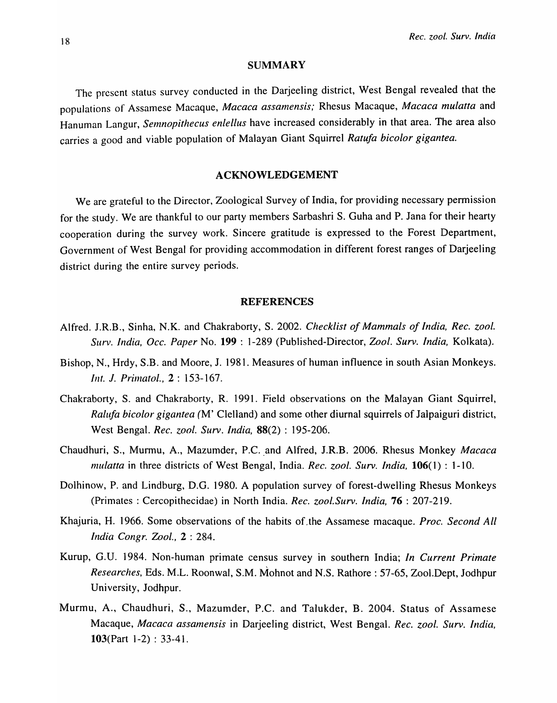#### **SUMMARY**

The present status survey conducted in the Darjeeling district, West Bengal revealed that the populations of Assamese Macaque, *Macaca assamensis;* Rhesus Macaque, *Macaca mulatta* and Hanuman Langur, *Semnopithecus enlellus* have increased considerably in that area. The area also carries a good and viable population of Malayan Giant Squirrel *Ratufa bicolor gigantea*.

### ACKNOWLEDGEMENT

We are grateful to the Director, Zoological Survey of India, for providing necessary permission for the study. We are thankful to our party members Sarbashri S. Guha and P. Jana for their hearty cooperation during the survey work. Sincere gratitude is expressed to the Forest Department, Government of West Bengal for providing accommodation in different forest ranges of Darjeeling district during the entire survey periods.

### REFERENCES

- Alfred. J.R.B., Sinha, N.K. and Chakraborty, S. 2002. *Checklist of Mammals of India, Rec. zool. Surv. India, Dcc. Paper* No. 199 : 1-289 (Published-Director, *Zool. Surv. India,* Kolkata).
- Bishop, N., Hrdy, S.B. and Moore, 1. 1981. Measures of human influence in south Asian Monkeys. *lilt. 1. Prirnatol.,* 2 : 153-167.
- Chakraborty, S. and Chakraborty, R. 1991. Field observations on the Malayan Giant Squirrel, *Ralufa hicolor gigantea* (M' Clelland) and some other diurnal squirrels of Jalpaiguri district, West Bengal. *Rec. zool. Surv. India,* 88(2) : 195-206.
- Chaudhuri, S., Murmu, A., Mazumder, P.C .. and Alfred, J.R.B. 2006. Rhesus Monkey *Macaca nlulatta* in three districts of West Bengal, India. *Rec. zool. Surv. India,* l06( 1) : 1-10.
- Dolhinow, P. and Lindburg, D.G. 1980. A population survey of forest-dwelling Rhesus Monkeys (Primates: Cercopithecidae) in North India. *Rec. zool.Surv. India,* 76 : 207-219.
- Khajuria, H. 1966. Some observations of the habits of.the Assamese macaque. *Proc. Second All India Congr. Zoo!.,* 2 : 284.
- Kurup, *G.V.* 1984. Non-human primate census survey in southern India; *In Current Primate Researches,* Eds. M.L. Roonwal, S.M. Mohnot and N.S. Rathore : 57-65, Zool.Dept, Jodhpur University, Jodhpur.
- Murmu, A., Chaudhuri, S., Mazumder, P.C. and Talukder, B. 2004. Status of Assamese Macaque, *Macaca assamensis* in Darjeeling district, West Bengal. *Rec. zool. Surv. India,*  103(Part 1-2) : 33-41.